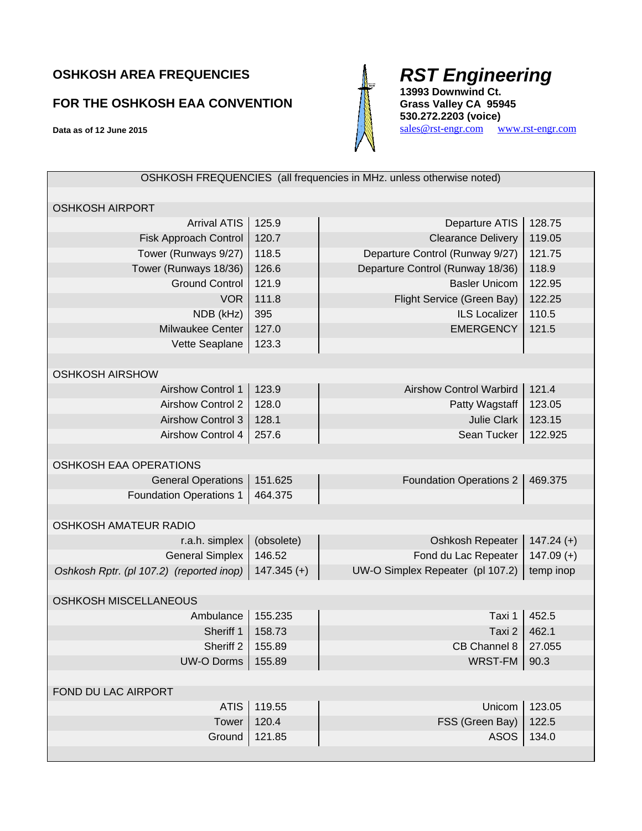## **OSHKOSH AREA FREQUENCIES**

## **FOR THE OSHKOSH EAA CONVENTION**

**Data as of 12 June 2015** 



## *RST Engineering*

**13993 Downwind Ct. Grass Valley CA 95945 530.272.2203 (voice)** 

sales@rst-engr.com www.rst-engr.com

|                                          |               | OSHKOSH FREQUENCIES (all frequencies in MHz. unless otherwise noted) |              |
|------------------------------------------|---------------|----------------------------------------------------------------------|--------------|
|                                          |               |                                                                      |              |
| <b>OSHKOSH AIRPORT</b>                   |               |                                                                      |              |
| <b>Arrival ATIS</b>                      | 125.9         | Departure ATIS                                                       | 128.75       |
| Fisk Approach Control                    | 120.7         | <b>Clearance Delivery</b>                                            | 119.05       |
| Tower (Runways 9/27)                     | 118.5         | Departure Control (Runway 9/27)                                      | 121.75       |
| Tower (Runways 18/36)                    | 126.6         | Departure Control (Runway 18/36)                                     | 118.9        |
| <b>Ground Control</b>                    | 121.9         | <b>Basler Unicom</b>                                                 | 122.95       |
| <b>VOR</b>                               | 111.8         | Flight Service (Green Bay)                                           | 122.25       |
| NDB (kHz)                                | 395           | <b>ILS Localizer</b>                                                 | 110.5        |
| <b>Milwaukee Center</b>                  | 127.0         | <b>EMERGENCY</b>                                                     | 121.5        |
| Vette Seaplane                           | 123.3         |                                                                      |              |
|                                          |               |                                                                      |              |
| <b>OSHKOSH AIRSHOW</b>                   |               |                                                                      |              |
| <b>Airshow Control 1</b>                 | 123.9         | <b>Airshow Control Warbird</b>                                       | 121.4        |
| <b>Airshow Control 2</b>                 | 128.0         | Patty Wagstaff                                                       | 123.05       |
| <b>Airshow Control 3</b>                 | 128.1         | <b>Julie Clark</b>                                                   | 123.15       |
| <b>Airshow Control 4</b>                 | 257.6         | Sean Tucker                                                          | 122.925      |
|                                          |               |                                                                      |              |
| OSHKOSH EAA OPERATIONS                   |               |                                                                      |              |
| <b>General Operations</b>                | 151.625       | <b>Foundation Operations 2</b>                                       | 469.375      |
| <b>Foundation Operations 1</b>           | 464.375       |                                                                      |              |
|                                          |               |                                                                      |              |
| <b>OSHKOSH AMATEUR RADIO</b>             |               |                                                                      |              |
| r.a.h. simplex                           | (obsolete)    | Oshkosh Repeater                                                     | $147.24 (+)$ |
| <b>General Simplex</b>                   | 146.52        | Fond du Lac Repeater                                                 | $147.09 (+)$ |
| Oshkosh Rptr. (pl 107.2) (reported inop) | $147.345 (+)$ | UW-O Simplex Repeater (pl 107.2)                                     | temp inop    |
|                                          |               |                                                                      |              |
| <b>OSHKOSH MISCELLANEOUS</b>             |               |                                                                      |              |
| Ambulance                                | 155.235       | Taxi 1                                                               | 452.5        |
| Sheriff 1                                | 158.73        | Taxi 2                                                               | 462.1        |
| Sheriff 2                                | 155.89        | CB Channel 8                                                         | 27.055       |
| <b>UW-O Dorms</b>                        | 155.89        | <b>WRST-FM</b>                                                       | 90.3         |
|                                          |               |                                                                      |              |
| FOND DU LAC AIRPORT                      |               |                                                                      |              |
| <b>ATIS</b>                              | 119.55        | Unicom                                                               | 123.05       |
| Tower                                    | 120.4         | FSS (Green Bay)                                                      | 122.5        |
| Ground                                   | 121.85        | <b>ASOS</b>                                                          | 134.0        |
|                                          |               |                                                                      |              |
|                                          |               |                                                                      |              |